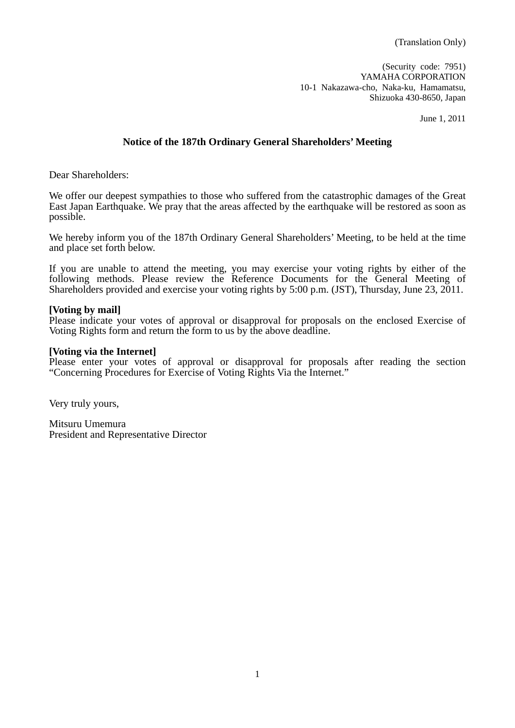(Translation Only)

(Security code: 7951) YAMAHA CORPORATION 10-1 Nakazawa-cho, Naka-ku, Hamamatsu, Shizuoka 430-8650, Japan

June 1, 2011

## **Notice of the 187th Ordinary General Shareholders' Meeting**

Dear Shareholders:

We offer our deepest sympathies to those who suffered from the catastrophic damages of the Great East Japan Earthquake. We pray that the areas affected by the earthquake will be restored as soon as possible.

We hereby inform you of the 187th Ordinary General Shareholders' Meeting, to be held at the time and place set forth below.

If you are unable to attend the meeting, you may exercise your voting rights by either of the following methods. Please review the Reference Documents for the General Meeting of Shareholders provided and exercise your voting rights by 5:00 p.m. (JST), Thursday, June 23, 2011.

#### **[Voting by mail]**

Please indicate your votes of approval or disapproval for proposals on the enclosed Exercise of Voting Rights form and return the form to us by the above deadline.

#### **[Voting via the Internet]**

Please enter your votes of approval or disapproval for proposals after reading the section "Concerning Procedures for Exercise of Voting Rights Via the Internet."

Very truly yours,

Mitsuru Umemura President and Representative Director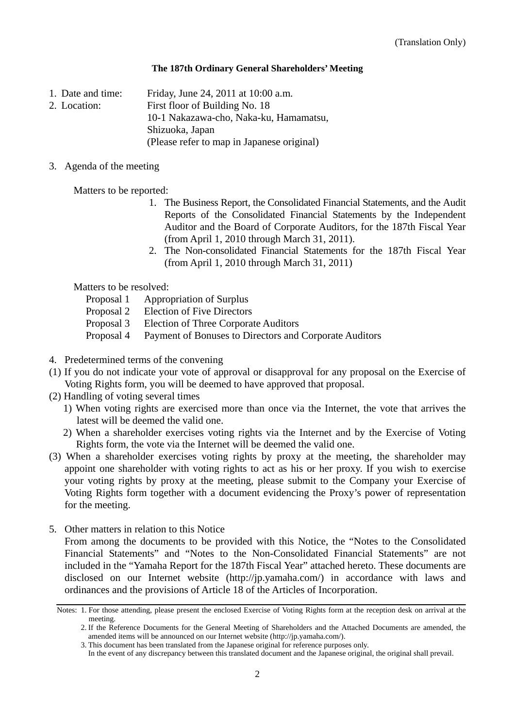### **The 187th Ordinary General Shareholders' Meeting**

1. Date and time: Friday, June 24, 2011 at 10:00 a.m.

2. Location: First floor of Building No. 18 10-1 Nakazawa-cho, Naka-ku, Hamamatsu, Shizuoka, Japan

(Please refer to map in Japanese original)

## 3. Agenda of the meeting

Matters to be reported:

- 1. The Business Report, the Consolidated Financial Statements, and the Audit Reports of the Consolidated Financial Statements by the Independent Auditor and the Board of Corporate Auditors, for the 187th Fiscal Year (from April 1, 2010 through March 31, 2011).
- 2. The Non-consolidated Financial Statements for the 187th Fiscal Year (from April 1, 2010 through March 31, 2011)

Matters to be resolved:

- Proposal 1 Appropriation of Surplus
- Proposal 2 Election of Five Directors
- Proposal 3 Election of Three Corporate Auditors
- Proposal 4 Payment of Bonuses to Directors and Corporate Auditors
- 4. Predetermined terms of the convening
- (1) If you do not indicate your vote of approval or disapproval for any proposal on the Exercise of Voting Rights form, you will be deemed to have approved that proposal.
- (2) Handling of voting several times
	- 1) When voting rights are exercised more than once via the Internet, the vote that arrives the latest will be deemed the valid one.
	- 2) When a shareholder exercises voting rights via the Internet and by the Exercise of Voting Rights form, the vote via the Internet will be deemed the valid one.
- (3) When a shareholder exercises voting rights by proxy at the meeting, the shareholder may appoint one shareholder with voting rights to act as his or her proxy. If you wish to exercise your voting rights by proxy at the meeting, please submit to the Company your Exercise of Voting Rights form together with a document evidencing the Proxy's power of representation for the meeting.
- 5. Other matters in relation to this Notice

 From among the documents to be provided with this Notice, the "Notes to the Consolidated Financial Statements" and "Notes to the Non-Consolidated Financial Statements" are not included in the "Yamaha Report for the 187th Fiscal Year" attached hereto. These documents are disclosed on our Internet website (http://jp.yamaha.com/) in accordance with laws and ordinances and the provisions of Article 18 of the Articles of Incorporation.

Notes: 1. For those attending, please present the enclosed Exercise of Voting Rights form at the reception desk on arrival at the meeting.

<sup>2.</sup> If the Reference Documents for the General Meeting of Shareholders and the Attached Documents are amended, the amended items will be announced on our Internet website (http://jp.yamaha.com/).

<sup>3.</sup> This document has been translated from the Japanese original for reference purposes only.

In the event of any discrepancy between this translated document and the Japanese original, the original shall prevail.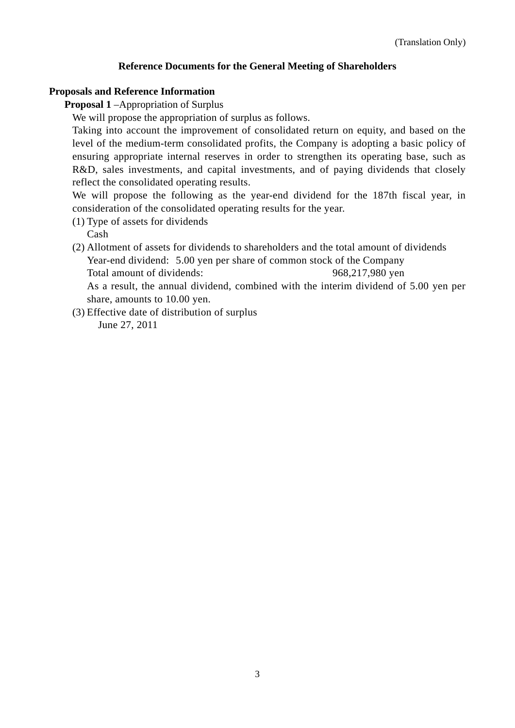## **Reference Documents for the General Meeting of Shareholders**

## **Proposals and Reference Information**

**Proposal 1** –Appropriation of Surplus

We will propose the appropriation of surplus as follows.

Taking into account the improvement of consolidated return on equity, and based on the level of the medium-term consolidated profits, the Company is adopting a basic policy of ensuring appropriate internal reserves in order to strengthen its operating base, such as R&D, sales investments, and capital investments, and of paying dividends that closely reflect the consolidated operating results.

We will propose the following as the year-end dividend for the 187th fiscal year, in consideration of the consolidated operating results for the year.

- (1) Type of assets for dividends Cash
- (2) Allotment of assets for dividends to shareholders and the total amount of dividends Year-end dividend: 5.00 yen per share of common stock of the Company Total amount of dividends: 968,217,980 yen

As a result, the annual dividend, combined with the interim dividend of 5.00 yen per share, amounts to 10.00 yen.

(3) Effective date of distribution of surplus

June 27, 2011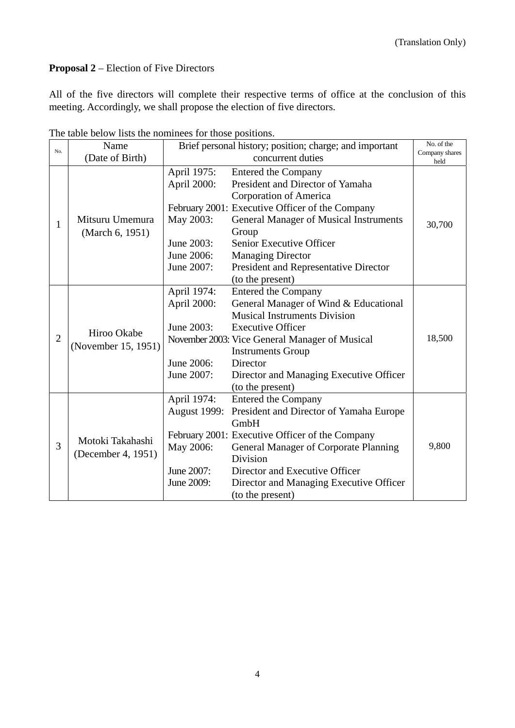# **Proposal 2** – Election of Five Directors

All of the five directors will complete their respective terms of office at the conclusion of this meeting. Accordingly, we shall propose the election of five directors.

|                | Name                                   | The those below hotel the hominees for those positions.<br>Brief personal history; position; charge; and important |                                                 | No. of the             |
|----------------|----------------------------------------|--------------------------------------------------------------------------------------------------------------------|-------------------------------------------------|------------------------|
| No.            | (Date of Birth)                        |                                                                                                                    | concurrent duties                               | Company shares<br>held |
| 1              | Mitsuru Umemura<br>(March 6, 1951)     | April 1975:                                                                                                        | Entered the Company                             |                        |
|                |                                        | April 2000:                                                                                                        | President and Director of Yamaha                |                        |
|                |                                        |                                                                                                                    | Corporation of America                          |                        |
|                |                                        |                                                                                                                    | February 2001: Executive Officer of the Company |                        |
|                |                                        | May 2003:                                                                                                          | <b>General Manager of Musical Instruments</b>   | 30,700                 |
|                |                                        |                                                                                                                    | Group                                           |                        |
|                |                                        | June 2003:                                                                                                         | Senior Executive Officer                        |                        |
|                |                                        | June 2006:                                                                                                         | <b>Managing Director</b>                        |                        |
|                |                                        | June 2007:                                                                                                         | President and Representative Director           |                        |
|                |                                        |                                                                                                                    | (to the present)                                |                        |
|                | Hiroo Okabe<br>(November 15, 1951)     | April 1974:                                                                                                        | Entered the Company                             |                        |
|                |                                        | April 2000:                                                                                                        | General Manager of Wind & Educational           |                        |
|                |                                        |                                                                                                                    | <b>Musical Instruments Division</b>             |                        |
| $\overline{2}$ |                                        | June 2003:                                                                                                         | <b>Executive Officer</b>                        |                        |
|                |                                        |                                                                                                                    | November 2003: Vice General Manager of Musical  | 18,500                 |
|                |                                        |                                                                                                                    | <b>Instruments Group</b>                        |                        |
|                |                                        | June 2006:                                                                                                         | Director                                        |                        |
|                |                                        | June 2007:                                                                                                         | Director and Managing Executive Officer         |                        |
|                |                                        |                                                                                                                    | (to the present)                                |                        |
|                | Motoki Takahashi<br>(December 4, 1951) | April 1974:                                                                                                        | <b>Entered the Company</b>                      |                        |
|                |                                        | <b>August 1999:</b>                                                                                                | President and Director of Yamaha Europe         |                        |
| 3              |                                        |                                                                                                                    | GmbH                                            |                        |
|                |                                        |                                                                                                                    | February 2001: Executive Officer of the Company |                        |
|                |                                        | May 2006:                                                                                                          | <b>General Manager of Corporate Planning</b>    | 9,800                  |
|                |                                        |                                                                                                                    | Division                                        |                        |
|                |                                        | June 2007:                                                                                                         | Director and Executive Officer                  |                        |
|                |                                        | June 2009:                                                                                                         | Director and Managing Executive Officer         |                        |
|                |                                        |                                                                                                                    | (to the present)                                |                        |

The table below lists the nominees for those positions.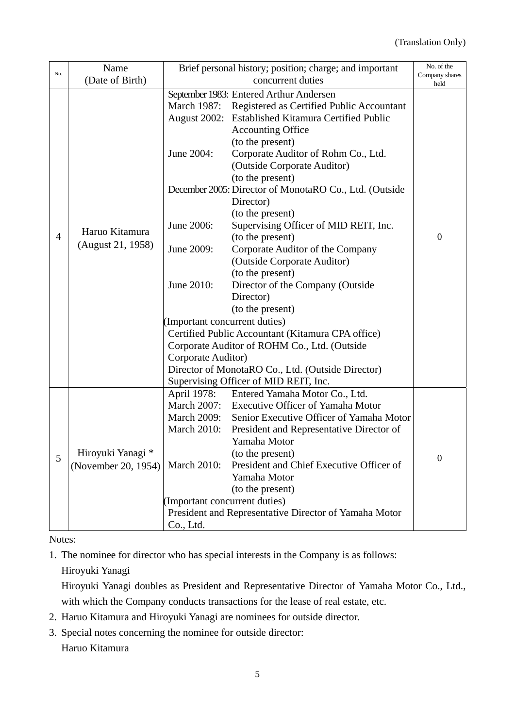|                | Name                                     | Brief personal history; position; charge; and important |                                                    | No. of the             |
|----------------|------------------------------------------|---------------------------------------------------------|----------------------------------------------------|------------------------|
| No.            | (Date of Birth)                          | concurrent duties                                       |                                                    | Company shares<br>held |
|                |                                          |                                                         | September 1983: Entered Arthur Andersen            |                        |
|                |                                          | March 1987:                                             | Registered as Certified Public Accountant          |                        |
|                |                                          |                                                         | August 2002: Established Kitamura Certified Public |                        |
|                |                                          |                                                         | <b>Accounting Office</b>                           |                        |
|                |                                          |                                                         | (to the present)                                   |                        |
|                |                                          | June 2004:                                              | Corporate Auditor of Rohm Co., Ltd.                |                        |
|                |                                          |                                                         | (Outside Corporate Auditor)                        |                        |
|                |                                          |                                                         | (to the present)                                   |                        |
|                |                                          | December 2005: Director of MonotaRO Co., Ltd. (Outside  |                                                    |                        |
|                |                                          |                                                         | Director)                                          | $\theta$               |
|                |                                          |                                                         | (to the present)                                   |                        |
|                |                                          | June 2006:                                              | Supervising Officer of MID REIT, Inc.              |                        |
| $\overline{4}$ | Haruo Kitamura                           |                                                         | (to the present)                                   |                        |
|                | (August 21, 1958)                        | June 2009:                                              | Corporate Auditor of the Company                   |                        |
|                |                                          |                                                         | (Outside Corporate Auditor)                        |                        |
|                |                                          | June 2010:                                              | (to the present)                                   |                        |
|                |                                          |                                                         | Director of the Company (Outside                   |                        |
|                |                                          |                                                         | Director)                                          |                        |
|                |                                          |                                                         | (to the present)                                   |                        |
|                |                                          | (Important concurrent duties)                           |                                                    |                        |
|                |                                          | Certified Public Accountant (Kitamura CPA office)       |                                                    |                        |
|                |                                          | Corporate Auditor of ROHM Co., Ltd. (Outside            |                                                    |                        |
|                |                                          | Corporate Auditor)                                      |                                                    |                        |
|                |                                          | Director of MonotaRO Co., Ltd. (Outside Director)       |                                                    |                        |
|                |                                          |                                                         | Supervising Officer of MID REIT, Inc.              |                        |
|                | Hiroyuki Yanagi *<br>(November 20, 1954) | April 1978:                                             | Entered Yamaha Motor Co., Ltd.                     |                        |
|                |                                          | March 2007:                                             | <b>Executive Officer of Yamaha Motor</b>           |                        |
|                |                                          | <b>March 2009:</b>                                      | Senior Executive Officer of Yamaha Motor           |                        |
|                |                                          | <b>March 2010:</b>                                      | President and Representative Director of           |                        |
|                |                                          | <b>March 2010:</b>                                      | Yamaha Motor                                       | $\overline{0}$         |
| 5              |                                          |                                                         | (to the present)                                   |                        |
|                |                                          |                                                         | President and Chief Executive Officer of           |                        |
|                |                                          |                                                         | Yamaha Motor                                       |                        |
|                |                                          |                                                         | (to the present)                                   |                        |
|                |                                          | (Important concurrent duties)                           |                                                    |                        |
|                |                                          | President and Representative Director of Yamaha Motor   |                                                    |                        |
|                |                                          | Co., Ltd.                                               |                                                    |                        |

Notes:

1. The nominee for director who has special interests in the Company is as follows: Hiroyuki Yanagi

Hiroyuki Yanagi doubles as President and Representative Director of Yamaha Motor Co., Ltd., with which the Company conducts transactions for the lease of real estate, etc.

- 2. Haruo Kitamura and Hiroyuki Yanagi are nominees for outside director.
- 3. Special notes concerning the nominee for outside director:

Haruo Kitamura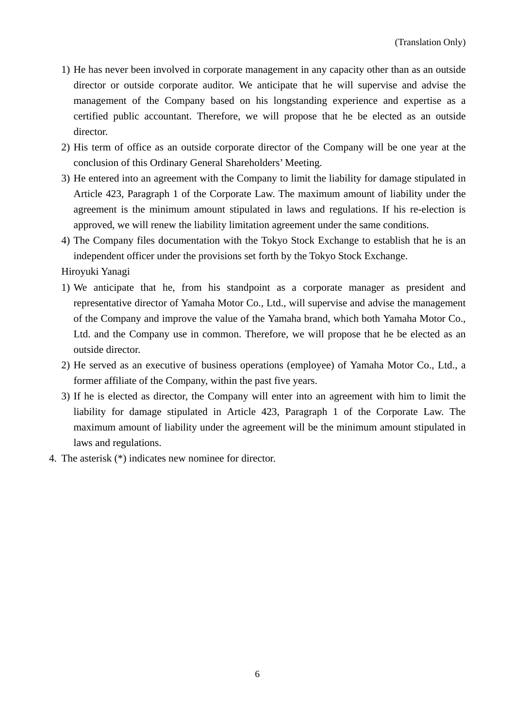- 1) He has never been involved in corporate management in any capacity other than as an outside director or outside corporate auditor. We anticipate that he will supervise and advise the management of the Company based on his longstanding experience and expertise as a certified public accountant. Therefore, we will propose that he be elected as an outside director.
- 2) His term of office as an outside corporate director of the Company will be one year at the conclusion of this Ordinary General Shareholders' Meeting.
- 3) He entered into an agreement with the Company to limit the liability for damage stipulated in Article 423, Paragraph 1 of the Corporate Law. The maximum amount of liability under the agreement is the minimum amount stipulated in laws and regulations. If his re-election is approved, we will renew the liability limitation agreement under the same conditions.
- 4) The Company files documentation with the Tokyo Stock Exchange to establish that he is an independent officer under the provisions set forth by the Tokyo Stock Exchange.

Hiroyuki Yanagi

- 1) We anticipate that he, from his standpoint as a corporate manager as president and representative director of Yamaha Motor Co., Ltd., will supervise and advise the management of the Company and improve the value of the Yamaha brand, which both Yamaha Motor Co., Ltd. and the Company use in common. Therefore, we will propose that he be elected as an outside director.
- 2) He served as an executive of business operations (employee) of Yamaha Motor Co., Ltd., a former affiliate of the Company, within the past five years.
- 3) If he is elected as director, the Company will enter into an agreement with him to limit the liability for damage stipulated in Article 423, Paragraph 1 of the Corporate Law. The maximum amount of liability under the agreement will be the minimum amount stipulated in laws and regulations.
- 4. The asterisk (\*) indicates new nominee for director.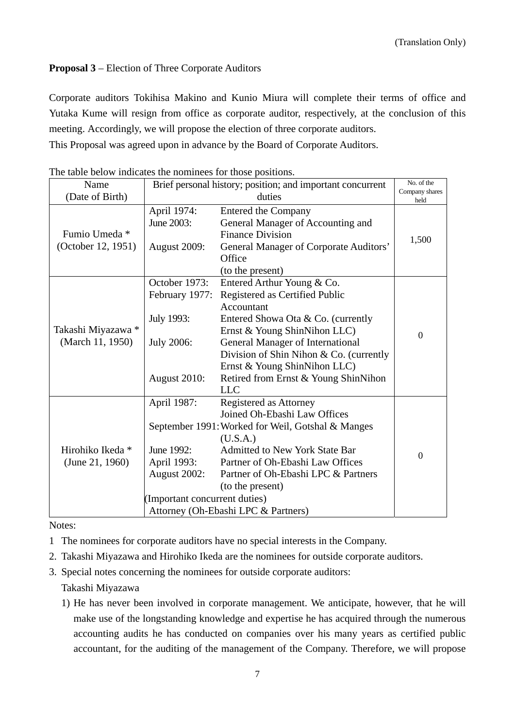# **Proposal 3** – Election of Three Corporate Auditors

Corporate auditors Tokihisa Makino and Kunio Miura will complete their terms of office and Yutaka Kume will resign from office as corporate auditor, respectively, at the conclusion of this meeting. Accordingly, we will propose the election of three corporate auditors. This Proposal was agreed upon in advance by the Board of Corporate Auditors.

| Name                                   | Brief personal history; position; and important concurrent                                |                                                                                                                                                                                                                                                                                                                              | No. of the             |
|----------------------------------------|-------------------------------------------------------------------------------------------|------------------------------------------------------------------------------------------------------------------------------------------------------------------------------------------------------------------------------------------------------------------------------------------------------------------------------|------------------------|
| (Date of Birth)                        | duties                                                                                    |                                                                                                                                                                                                                                                                                                                              | Company shares<br>held |
| Fumio Umeda *<br>(October 12, 1951)    | April 1974:<br>June 2003:<br>August 2009:                                                 | <b>Entered the Company</b><br>General Manager of Accounting and<br><b>Finance Division</b><br>General Manager of Corporate Auditors'                                                                                                                                                                                         | 1,500                  |
|                                        |                                                                                           | Office<br>(to the present)                                                                                                                                                                                                                                                                                                   |                        |
| Takashi Miyazawa *<br>(March 11, 1950) | October 1973:<br>February 1977:<br>July 1993:<br><b>July 2006:</b><br>August 2010:        | Entered Arthur Young & Co.<br>Registered as Certified Public<br>Accountant<br>Entered Showa Ota & Co. (currently<br>Ernst & Young ShinNihon LLC)<br><b>General Manager of International</b><br>Division of Shin Nihon & Co. (currently<br>Ernst & Young ShinNihon LLC)<br>Retired from Ernst & Young ShinNihon<br><b>LLC</b> | $\overline{0}$         |
| Hirohiko Ikeda *<br>(June 21, 1960)    | April 1987:<br>June 1992:<br>April 1993:<br>August 2002:<br>(Important concurrent duties) | Registered as Attorney<br>Joined Oh-Ebashi Law Offices<br>September 1991: Worked for Weil, Gotshal & Manges<br>(U.S.A.)<br><b>Admitted to New York State Bar</b><br>Partner of Oh-Ebashi Law Offices<br>Partner of Oh-Ebashi LPC & Partners<br>(to the present)<br>Attorney (Oh-Ebashi LPC & Partners)                       | $\overline{0}$         |

The table below indicates the nominees for those positions.

Notes:

- 1 The nominees for corporate auditors have no special interests in the Company.
- 2. Takashi Miyazawa and Hirohiko Ikeda are the nominees for outside corporate auditors.
- 3. Special notes concerning the nominees for outside corporate auditors:

Takashi Miyazawa

1) He has never been involved in corporate management. We anticipate, however, that he will make use of the longstanding knowledge and expertise he has acquired through the numerous accounting audits he has conducted on companies over his many years as certified public accountant, for the auditing of the management of the Company. Therefore, we will propose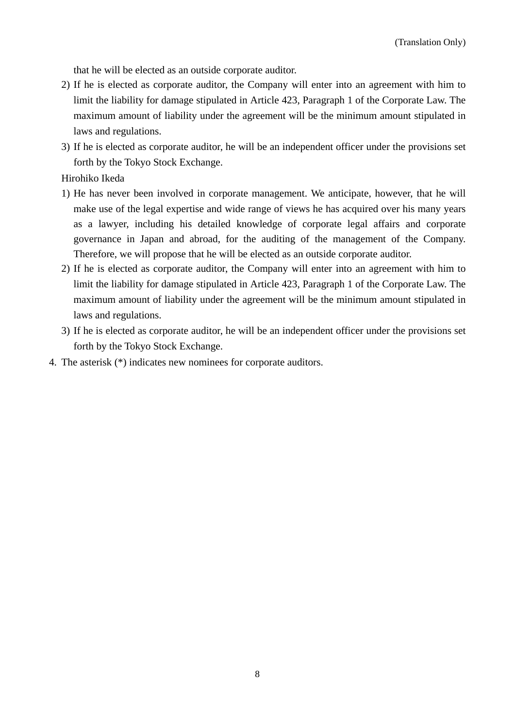that he will be elected as an outside corporate auditor.

- 2) If he is elected as corporate auditor, the Company will enter into an agreement with him to limit the liability for damage stipulated in Article 423, Paragraph 1 of the Corporate Law. The maximum amount of liability under the agreement will be the minimum amount stipulated in laws and regulations.
- 3) If he is elected as corporate auditor, he will be an independent officer under the provisions set forth by the Tokyo Stock Exchange.

Hirohiko Ikeda

- 1) He has never been involved in corporate management. We anticipate, however, that he will make use of the legal expertise and wide range of views he has acquired over his many years as a lawyer, including his detailed knowledge of corporate legal affairs and corporate governance in Japan and abroad, for the auditing of the management of the Company. Therefore, we will propose that he will be elected as an outside corporate auditor.
- 2) If he is elected as corporate auditor, the Company will enter into an agreement with him to limit the liability for damage stipulated in Article 423, Paragraph 1 of the Corporate Law. The maximum amount of liability under the agreement will be the minimum amount stipulated in laws and regulations.
- 3) If he is elected as corporate auditor, he will be an independent officer under the provisions set forth by the Tokyo Stock Exchange.
- 4. The asterisk (\*) indicates new nominees for corporate auditors.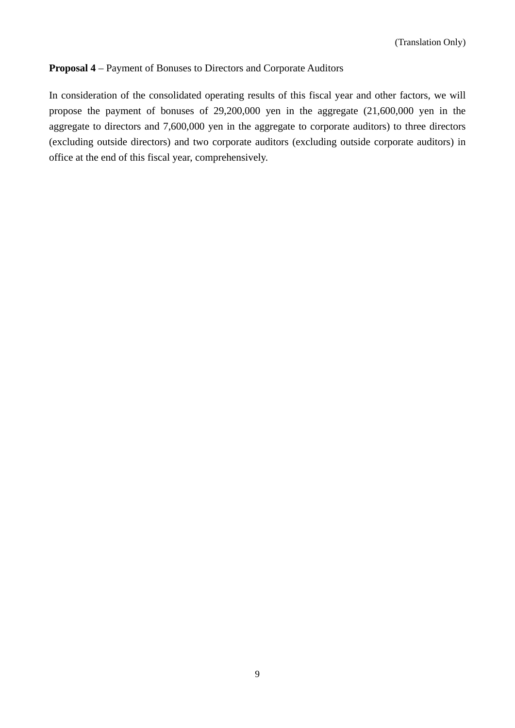# **Proposal 4** – Payment of Bonuses to Directors and Corporate Auditors

In consideration of the consolidated operating results of this fiscal year and other factors, we will propose the payment of bonuses of 29,200,000 yen in the aggregate (21,600,000 yen in the aggregate to directors and 7,600,000 yen in the aggregate to corporate auditors) to three directors (excluding outside directors) and two corporate auditors (excluding outside corporate auditors) in office at the end of this fiscal year, comprehensively.